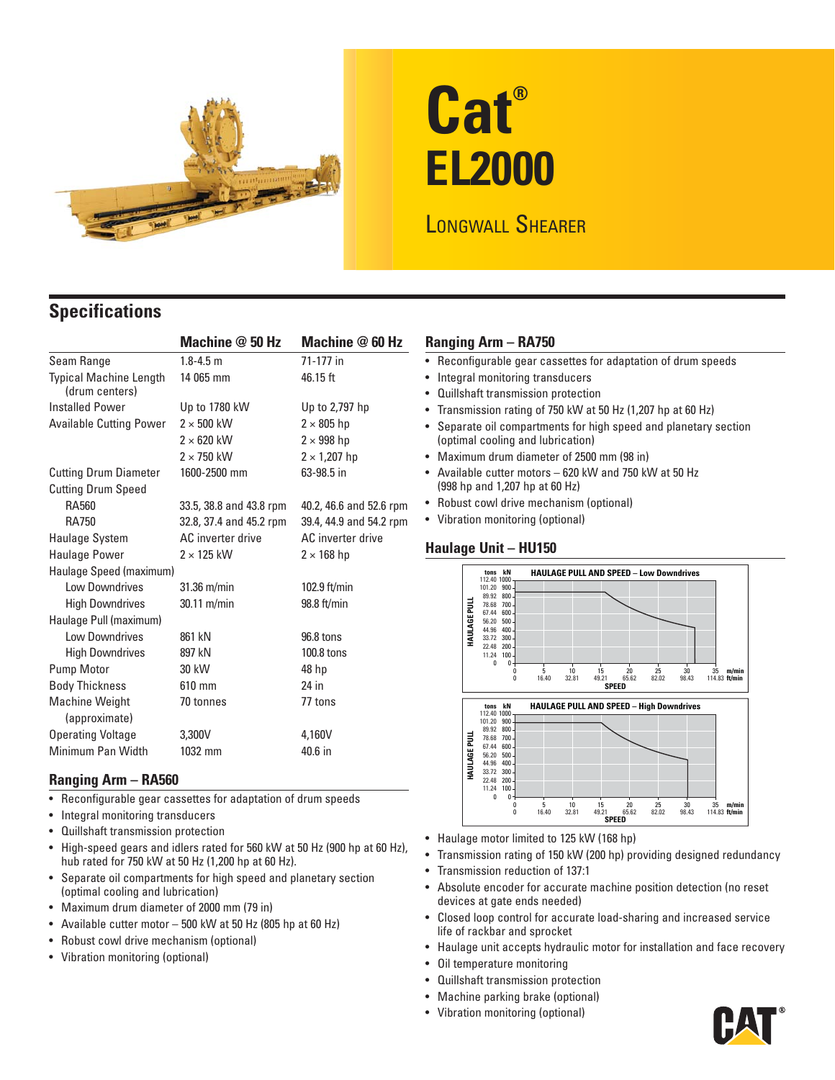

# **Cat® EL2000**

## LONGWALL SHEARER

### **Specifications**

|                                                 | Machine @ 50 Hz         | Machine @ 60 Hz         |  |  |  |
|-------------------------------------------------|-------------------------|-------------------------|--|--|--|
| Seam Range                                      | $1.8 - 4.5$ m           | 71-177 in               |  |  |  |
| <b>Typical Machine Length</b><br>(drum centers) | 14 065 mm               | 46.15 ft                |  |  |  |
| <b>Installed Power</b>                          | Up to 1780 kW           | Up to 2,797 hp          |  |  |  |
| <b>Available Cutting Power</b>                  | $2 \times 500$ kW       | $2 \times 805$ hp       |  |  |  |
|                                                 | $2 \times 620$ kW       | $2 \times 998$ hp       |  |  |  |
|                                                 | $2 \times 750$ kW       | $2 \times 1,207$ hp     |  |  |  |
| <b>Cutting Drum Diameter</b>                    | 1600-2500 mm            | 63-98.5 in              |  |  |  |
| <b>Cutting Drum Speed</b>                       |                         |                         |  |  |  |
| RA560                                           | 33.5, 38.8 and 43.8 rpm | 40.2, 46.6 and 52.6 rpm |  |  |  |
| RA750                                           | 32.8, 37.4 and 45.2 rpm | 39.4, 44.9 and 54.2 rpm |  |  |  |
| Haulage System                                  | AC inverter drive       | AC inverter drive       |  |  |  |
| <b>Haulage Power</b>                            | $2 \times 125$ kW       | $2 \times 168$ hp       |  |  |  |
| Haulage Speed (maximum)                         |                         |                         |  |  |  |
| Low Downdrives                                  | $31.36$ m/min           | 102.9 $ft/min$          |  |  |  |
| <b>High Downdrives</b>                          | $30.11 \text{ m/min}$   | $98.8$ ft/min           |  |  |  |
| Haulage Pull (maximum)                          |                         |                         |  |  |  |
| Low Downdrives                                  | 861 kN                  | 96.8 tons               |  |  |  |
| <b>High Downdrives</b>                          | 897 kN                  | 100.8 tons              |  |  |  |
| Pump Motor                                      | 30 kW                   | 48 hp                   |  |  |  |
| <b>Body Thickness</b>                           | 610 mm                  | 24 in                   |  |  |  |
| <b>Machine Weight</b><br>(approximate)          | 70 tonnes               | 77 tons                 |  |  |  |
| <b>Operating Voltage</b>                        | 3,300V                  | 4,160V                  |  |  |  |
| Minimum Pan Width                               | 1032 mm                 | 40.6 in                 |  |  |  |

#### **Ranging Arm – RA560**

- Reconfigurable gear cassettes for adaptation of drum speeds
- Integral monitoring transducers
- Quillshaft transmission protection
- High-speed gears and idlers rated for 560 kW at 50 Hz (900 hp at 60 Hz), hub rated for 750 kW at 50 Hz (1,200 hp at 60 Hz).
- Separate oil compartments for high speed and planetary section (optimal cooling and lubrication)
- Maximum drum diameter of 2000 mm (79 in)
- Available cutter motor 500 kW at 50 Hz (805 hp at 60 Hz)
- Robust cowl drive mechanism (optional)
- Vibration monitoring (optional)

#### **Ranging Arm – RA750**

- Reconfigurable gear cassettes for adaptation of drum speeds
- Integral monitoring transducers
- Quillshaft transmission protection
- Transmission rating of 750 kW at 50 Hz (1,207 hp at 60 Hz)
- Separate oil compartments for high speed and planetary section (optimal cooling and lubrication)
- Maximum drum diameter of 2500 mm (98 in)
- Available cutter motors 620 kW and 750 kW at 50 Hz (998 hp and 1,207 hp at 60 Hz)
- Robust cowl drive mechanism (optional)
- Vibration monitoring (optional)

#### **Haulage Unit – HU150**



- Haulage motor limited to 125 kW (168 hp)
- Transmission rating of 150 kW (200 hp) providing designed redundancy
- Transmission reduction of 137:1
- Absolute encoder for accurate machine position detection (no reset devices at gate ends needed)
- Closed loop control for accurate load-sharing and increased service life of rackbar and sprocket
- Haulage unit accepts hydraulic motor for installation and face recovery
- Oil temperature monitoring
- Quillshaft transmission protection
- Machine parking brake (optional)
- Vibration monitoring (optional)

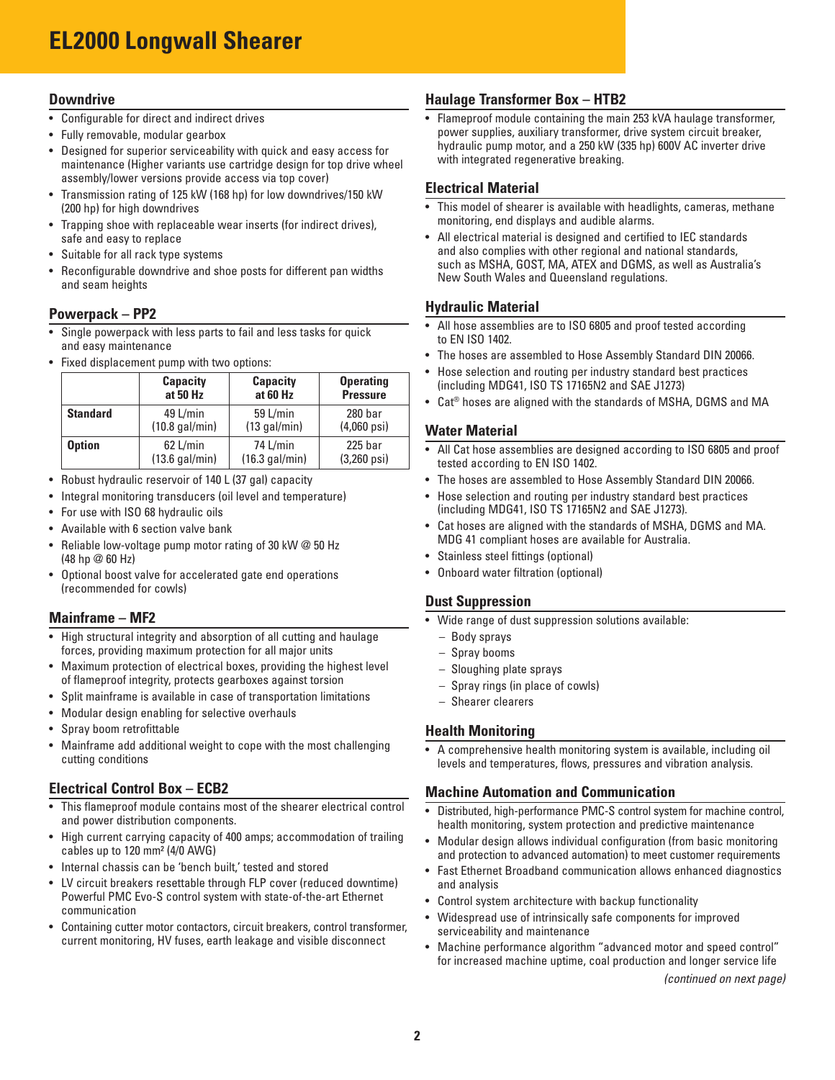## **EL2000 Longwall Shearer**

#### **Downdrive**

- Configurable for direct and indirect drives
- Fully removable, modular gearbox
- Designed for superior serviceability with quick and easy access for maintenance (Higher variants use cartridge design for top drive wheel assembly/lower versions provide access via top cover)
- Transmission rating of 125 kW (168 hp) for low downdrives/150 kW (200 hp) for high downdrives
- Trapping shoe with replaceable wear inserts (for indirect drives), safe and easy to replace
- Suitable for all rack type systems
- Reconfigurable downdrive and shoe posts for different pan widths and seam heights

#### **Powerpack – PP2**

- Single powerpack with less parts to fail and less tasks for quick and easy maintenance
- Fixed displacement pump with two options:

|                 | <b>Capacity</b>          | <b>Capacity</b> | <b>Operating</b>         |
|-----------------|--------------------------|-----------------|--------------------------|
|                 | at 50 Hz                 | at 60 Hz        | <b>Pressure</b>          |
| <b>Standard</b> | 49 L/min                 | 59 L/min        | 280 bar                  |
|                 | $(10.8 \text{ gal/min})$ | $(13$ gal/min)  | $(4,060 \,\mathrm{psi})$ |
| <b>Option</b>   | 62 L/min                 | 74 L/min        | $225$ bar                |
|                 | (13.6 gal/min)           | (16.3 gal/min)  | $(3,260 \text{ psi})$    |

- Robust hydraulic reservoir of 140 L (37 gal) capacity
- Integral monitoring transducers (oil level and temperature)
- For use with ISO 68 hydraulic oils
- Available with 6 section valve bank
- Reliable low-voltage pump motor rating of 30 kW @ 50 Hz (48 hp @ 60 Hz)
- Optional boost valve for accelerated gate end operations (recommended for cowls)

#### **Mainframe – MF2**

- High structural integrity and absorption of all cutting and haulage forces, providing maximum protection for all major units
- Maximum protection of electrical boxes, providing the highest level of flameproof integrity, protects gearboxes against torsion
- Split mainframe is available in case of transportation limitations
- Modular design enabling for selective overhauls
- Spray boom retrofittable
- Mainframe add additional weight to cope with the most challenging cutting conditions

#### **Electrical Control Box – ECB2**

- This flameproof module contains most of the shearer electrical control and power distribution components.
- High current carrying capacity of 400 amps; accommodation of trailing cables up to 120 mm² (4/0 AWG)
- Internal chassis can be 'bench built,' tested and stored
- LV circuit breakers resettable through FLP cover (reduced downtime) Powerful PMC Evo-S control system with state-of-the-art Ethernet communication
- Containing cutter motor contactors, circuit breakers, control transformer, current monitoring, HV fuses, earth leakage and visible disconnect

#### **Haulage Transformer Box – HTB2**

• Flameproof module containing the main 253 kVA haulage transformer, power supplies, auxiliary transformer, drive system circuit breaker, hydraulic pump motor, and a 250 kW (335 hp) 600V AC inverter drive with integrated regenerative breaking.

#### **Electrical Material**

- This model of shearer is available with headlights, cameras, methane monitoring, end displays and audible alarms.
- All electrical material is designed and certified to IEC standards and also complies with other regional and national standards, such as MSHA, GOST, MA, ATEX and DGMS, as well as Australia's New South Wales and Queensland regulations.

#### **Hydraulic Material**

- All hose assemblies are to ISO 6805 and proof tested according to EN ISO 1402.
- The hoses are assembled to Hose Assembly Standard DIN 20066.
- Hose selection and routing per industry standard best practices (including MDG41, ISO TS 17165N2 and SAE J1273)
- Cat® hoses are aligned with the standards of MSHA, DGMS and MA

#### **Water Material**

- All Cat hose assemblies are designed according to ISO 6805 and proof tested according to EN ISO 1402.
- The hoses are assembled to Hose Assembly Standard DIN 20066.
- Hose selection and routing per industry standard best practices (including MDG41, ISO TS 17165N2 and SAE J1273).
- Cat hoses are aligned with the standards of MSHA, DGMS and MA. MDG 41 compliant hoses are available for Australia.
- Stainless steel fittings (optional)
- Onboard water filtration (optional)

#### **Dust Suppression**

- Wide range of dust suppression solutions available:
	- Body sprays
	- Spray booms
	- Sloughing plate sprays
	- Spray rings (in place of cowls)
- Shearer clearers

#### **Health Monitoring**

• A comprehensive health monitoring system is available, including oil levels and temperatures, flows, pressures and vibration analysis.

#### **Machine Automation and Communication**

- Distributed, high-performance PMC-S control system for machine control, health monitoring, system protection and predictive maintenance
- Modular design allows individual configuration (from basic monitoring and protection to advanced automation) to meet customer requirements
- Fast Ethernet Broadband communication allows enhanced diagnostics and analysis
- Control system architecture with backup functionality
- Widespread use of intrinsically safe components for improved serviceability and maintenance
- Machine performance algorithm "advanced motor and speed control" for increased machine uptime, coal production and longer service life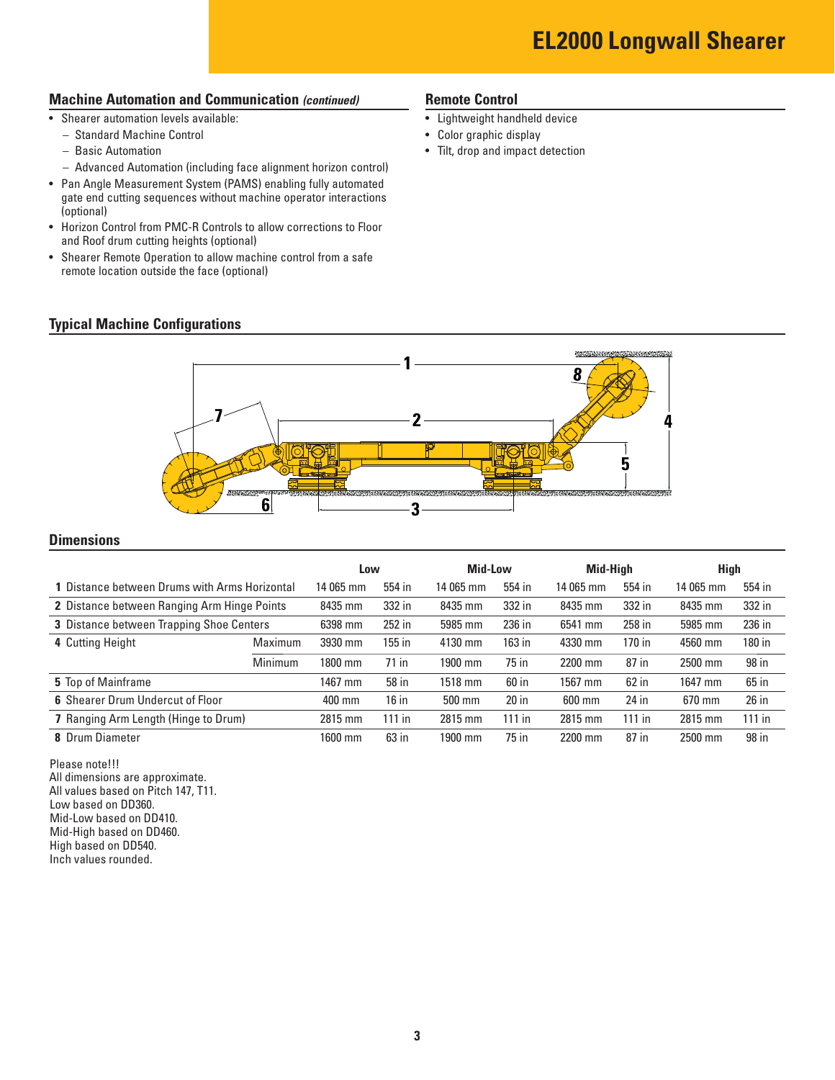#### **Machine Automation and Communication** *(continued)*

• Shearer automation levels available:

**Typical Machine Configurations**

- Standard Machine Control
- Basic Automation
- Advanced Automation (including face alignment horizon control)
- Pan Angle Measurement System (PAMS) enabling fully automated gate end cutting sequences without machine operator interactions (optional)
- Horizon Control from PMC-R Controls to allow corrections to Floor and Roof drum cutting heights (optional)
- Shearer Remote Operation to allow machine control from a safe remote location outside the face (optional)

#### **Remote Control**

- Lightweight handheld device
- Color graphic display
- Tilt, drop and impact detection



#### **Dimensions**

|                                               |           | Low      |           | <b>Mid-Low</b> |           | Mid-Hiah |           | <b>High</b> |  |
|-----------------------------------------------|-----------|----------|-----------|----------------|-----------|----------|-----------|-------------|--|
| 1 Distance between Drums with Arms Horizontal | 14 065 mm | 554 in   | 14 065 mm | 554 in         | 14 065 mm | 554 in   | 14 065 mm | 554 in      |  |
| 2 Distance between Ranging Arm Hinge Points   | 8435 mm   | 332 in   | 8435 mm   | 332 in         | 8435 mm   | 332 in   | 8435 mm   | 332 in      |  |
| 3 Distance between Trapping Shoe Centers      | 6398 mm   | 252 in   | 5985 mm   | 236 in         | 6541 mm   | 258 in   | 5985 mm   | 236 in      |  |
| 4 Cutting Height<br>Maximum                   | 3930 mm   | $155$ in | 4130 mm   | 163 in         | 4330 mm   | 170 in   | 4560 mm   | 180 in      |  |
| Minimum                                       | 1800 mm   | $71$ in  | 1900 mm   | 75 in          | 2200 mm   | 87 in    | 2500 mm   | 98 in       |  |
| 5 Top of Mainframe                            | 1467 mm   | 58 in    | 1518 mm   | 60 in          | 1567 mm   | 62 in    | 1647 mm   | 65 in       |  |
| 6 Shearer Drum Undercut of Floor              | 400 mm    | $16$ in  | 500 mm    | $20$ in        | 600 mm    | 24 in    | 670 mm    | 26 in       |  |
| 7 Ranging Arm Length (Hinge to Drum)          | 2815 mm   | $111$ in | 2815 mm   | $111$ in       | 2815 mm   | $111$ in | 2815 mm   | $111$ in    |  |
| 8 Drum Diameter                               | 1600 mm   | $63$ in  | 1900 mm   | 75 in          | 2200 mm   | 87 in    | 2500 mm   | 98 in       |  |

Please note!!! All dimensions are approximate. All values based on Pitch 147, T11. Low based on DD360. Mid-Low based on DD410. Mid-High based on DD460. High based on DD540. Inch values rounded.